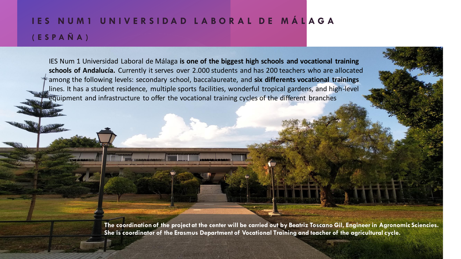## **I E S N U M 1 U N I V E R S I D A D L A B O R A L D E M Á L A G A ( E S P A Ñ A )**

IES Num 1 Universidad Laboral de Málaga **is one of the biggest high schools and vocational training schools of Andalucía.** Currently it serves over 2.000 students and has 200 teachers who are allocated among the following levels: secondary school, baccalaureate, and **six differents vocational trainings** lines. It has a student residence, multiple sports facilities, wonderful tropical gardens, and high-level equipment and infrastructure to offer the vocational training cycles of the different branches

> **The coordination of the project at the center will be carried out by Beatriz Toscano Gil, Engineer in Agronomic Sciencies. She is coordinator of the Erasmus Department of Vocational Training and teacher of the agricultural cycle.**